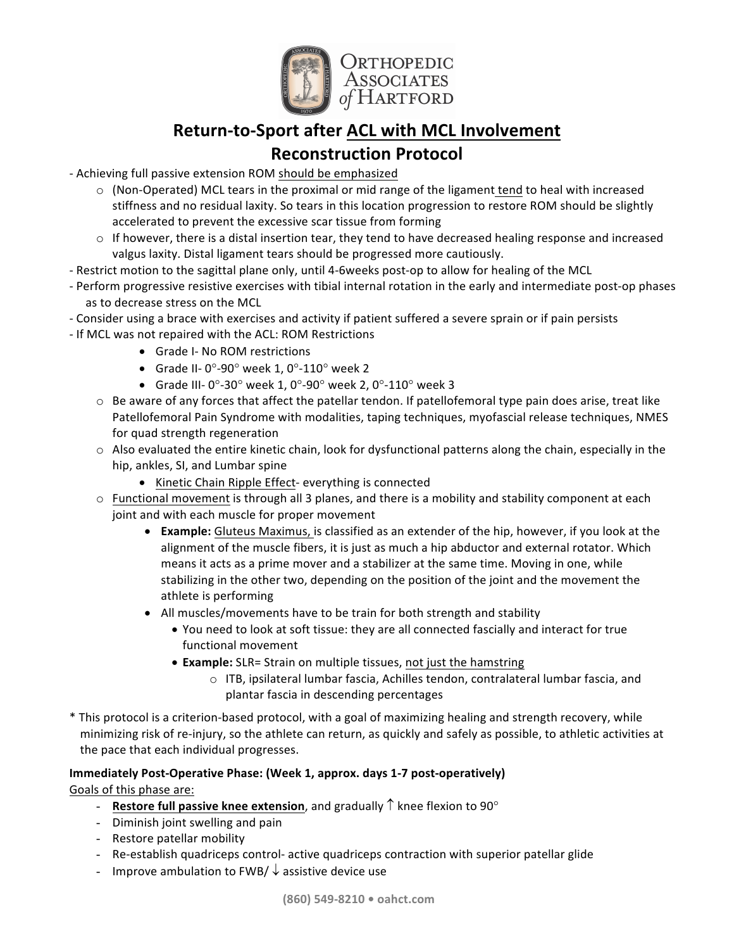

# **Return-to-Sport after ACL with MCL Involvement**

# **Reconstruction Protocol**

- Achieving full passive extension ROM should be emphasized
	- $\circ$  (Non-Operated) MCL tears in the proximal or mid range of the ligament tend to heal with increased stiffness and no residual laxity. So tears in this location progression to restore ROM should be slightly accelerated to prevent the excessive scar tissue from forming
	- $\circ$  If however, there is a distal insertion tear, they tend to have decreased healing response and increased valgus laxity. Distal ligament tears should be progressed more cautiously.
- Restrict motion to the sagittal plane only, until 4-6weeks post-op to allow for healing of the MCL
- Perform progressive resistive exercises with tibial internal rotation in the early and intermediate post-op phases as to decrease stress on the MCL
- Consider using a brace with exercises and activity if patient suffered a severe sprain or if pain persists
- If MCL was not repaired with the ACL: ROM Restrictions
	- Grade I- No ROM restrictions
	- Grade II- 0°-90° week 1, 0°-110° week 2
	- Grade III-  $0^{\circ}$ -30° week 1, 0°-90° week 2, 0°-110° week 3
	- $\circ$  Be aware of any forces that affect the patellar tendon. If patellofemoral type pain does arise, treat like Patellofemoral Pain Syndrome with modalities, taping techniques, myofascial release techniques, NMES for quad strength regeneration
	- $\circ$  Also evaluated the entire kinetic chain, look for dysfunctional patterns along the chain, especially in the hip, ankles, SI, and Lumbar spine
		- Kinetic Chain Ripple Effect- everything is connected
	- $\circ$  Functional movement is through all 3 planes, and there is a mobility and stability component at each joint and with each muscle for proper movement
		- **Example:** Gluteus Maximus, is classified as an extender of the hip, however, if you look at the alignment of the muscle fibers, it is just as much a hip abductor and external rotator. Which means it acts as a prime mover and a stabilizer at the same time. Moving in one, while stabilizing in the other two, depending on the position of the joint and the movement the athlete is performing
		- All muscles/movements have to be train for both strength and stability
			- You need to look at soft tissue: they are all connected fascially and interact for true functional movement
			- **Example:** SLR= Strain on multiple tissues, not just the hamstring
				- $\circ$  ITB, ipsilateral lumbar fascia, Achilles tendon, contralateral lumbar fascia, and plantar fascia in descending percentages
- \* This protocol is a criterion-based protocol, with a goal of maximizing healing and strength recovery, while minimizing risk of re-injury, so the athlete can return, as quickly and safely as possible, to athletic activities at the pace that each individual progresses.

# **Immediately Post-Operative Phase: (Week 1, approx. days 1-7 post-operatively)**

Goals of this phase are:

- **Restore full passive knee extension**, and gradually  $\uparrow$  knee flexion to 90 $^{\circ}$
- Diminish joint swelling and pain
- Restore patellar mobility
- Re-establish quadriceps control- active quadriceps contraction with superior patellar glide
- Improve ambulation to FWB/  $\downarrow$  assistive device use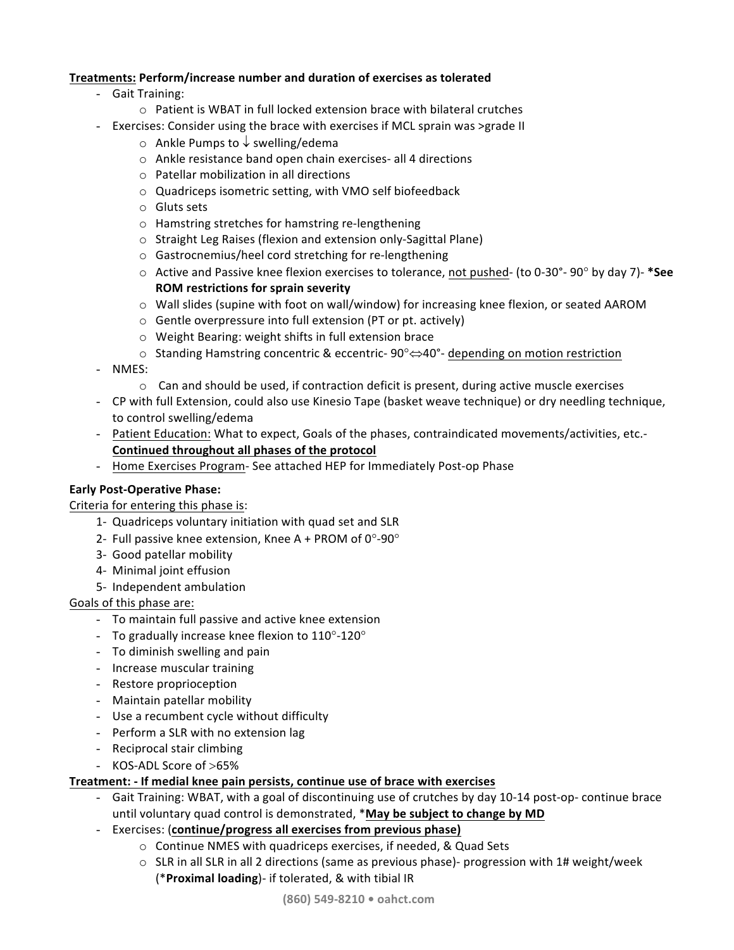# **Treatments: Perform/increase number and duration of exercises as tolerated**

- Gait Training:
	- $\circ$  Patient is WBAT in full locked extension brace with bilateral crutches
- Exercises: Consider using the brace with exercises if MCL sprain was >grade II
	- $\circ$  Ankle Pumps to  $\downarrow$  swelling/edema
	- $\circ$  Ankle resistance band open chain exercises- all 4 directions
	- $\circ$  Patellar mobilization in all directions
	- $\circ$  Quadriceps isometric setting, with VMO self biofeedback
	- $\circ$  Gluts sets
	- $\circ$  Hamstring stretches for hamstring re-lengthening
	- $\circ$  Straight Leg Raises (flexion and extension only-Sagittal Plane)
	- o Gastrocnemius/heel cord stretching for re-lengthening
	- $\circ$  Active and Passive knee flexion exercises to tolerance, not pushed- (to 0-30°- 90° by day 7)- \*See **ROM restrictions for sprain severity**
	- $\circ$  Wall slides (supine with foot on wall/window) for increasing knee flexion, or seated AAROM
	- $\circ$  Gentle overpressure into full extension (PT or pt. actively)
	- $\circ$  Weight Bearing: weight shifts in full extension brace
	- $\circ$  Standing Hamstring concentric & eccentric- 90° $\Leftrightarrow$  40°- depending on motion restriction
- NMES:
	- $\circ$  Can and should be used, if contraction deficit is present, during active muscle exercises
- CP with full Extension, could also use Kinesio Tape (basket weave technique) or dry needling technique, to control swelling/edema
- Patient Education: What to expect, Goals of the phases, contraindicated movements/activities, etc.-Continued throughout all phases of the protocol
- Home Exercises Program- See attached HEP for Immediately Post-op Phase

#### **Early Post-Operative Phase:**

#### Criteria for entering this phase is:

- 1- Quadriceps voluntary initiation with quad set and SLR
- 2- Full passive knee extension, Knee A + PROM of  $0^{\circ}$ -90 $^{\circ}$
- 3- Good patellar mobility
- 4- Minimal joint effusion
- 5- Independent ambulation

# Goals of this phase are:

- To maintain full passive and active knee extension
- To gradually increase knee flexion to  $110^{\circ}$ -120°
- To diminish swelling and pain
- Increase muscular training
- Restore proprioception
- Maintain patellar mobility
- Use a recumbent cycle without difficulty
- Perform a SLR with no extension lag
- Reciprocal stair climbing
- KOS-ADL Score of >65%

# **Treatment:** - If medial knee pain persists, continue use of brace with exercises

- Gait Training: WBAT, with a goal of discontinuing use of crutches by day 10-14 post-op- continue brace until voluntary quad control is demonstrated, **\*May be subject to change by MD**
- Exercises: (continue/progress all exercises from previous phase)
	- $\circ$  Continue NMES with quadriceps exercises, if needed, & Quad Sets
		- $\circ$  SLR in all SLR in all 2 directions (same as previous phase)- progression with 1# weight/week (\***Proximal loading**)- if tolerated, & with tibial IR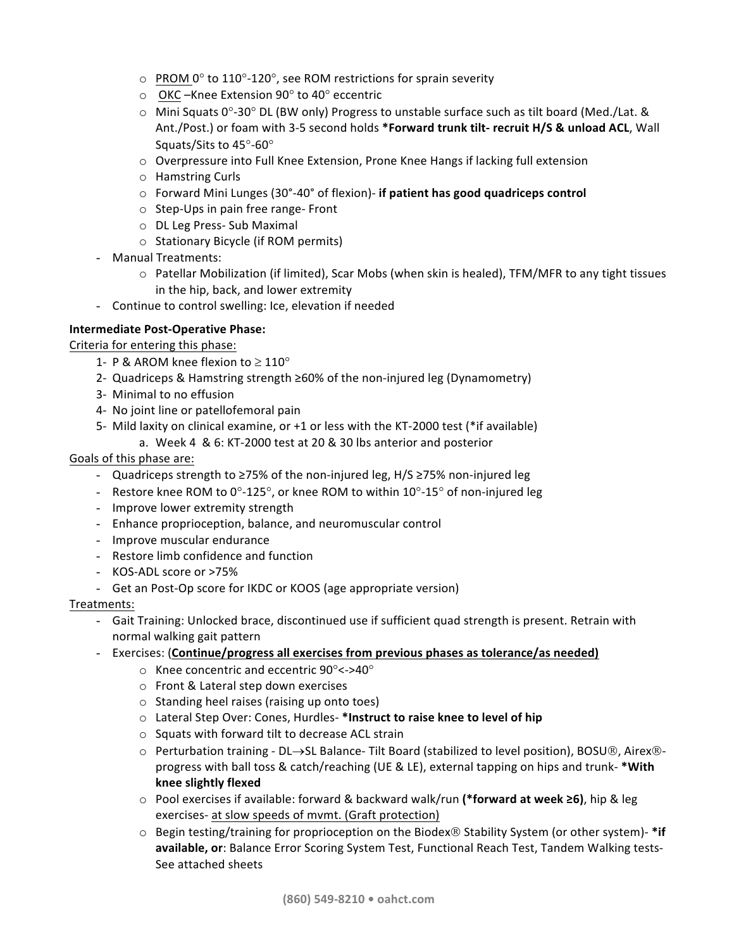- $\circ$  PROM 0° to 110°-120°, see ROM restrictions for sprain severity
- $\circ$  OKC –Knee Extension 90 $\circ$  to 40 $\circ$  eccentric
- $\circ$  Mini Squats 0°-30° DL (BW only) Progress to unstable surface such as tilt board (Med./Lat. & Ant./Post.) or foam with 3-5 second holds \*Forward trunk tilt- recruit H/S & unload ACL, Wall Squats/Sits to 45°-60°
- $\circ$  Overpressure into Full Knee Extension, Prone Knee Hangs if lacking full extension
- $\circ$  Hamstring Curls
- $\circ$  Forward Mini Lunges (30°-40° of flexion)- **if patient has good quadriceps control**
- $\circ$  Step-Ups in pain free range- Front
- o DL Leg Press- Sub Maximal
- $\circ$  Stationary Bicycle (if ROM permits)
- Manual Treatments:
	- $\circ$  Patellar Mobilization (if limited), Scar Mobs (when skin is healed), TFM/MFR to any tight tissues in the hip, back, and lower extremity
- Continue to control swelling: Ice, elevation if needed

# **Intermediate Post-Operative Phase:**

Criteria for entering this phase:

- 1- P & AROM knee flexion to  $\geq 110^{\circ}$
- 2- Quadriceps & Hamstring strength ≥60% of the non-injured leg (Dynamometry)
- 3- Minimal to no effusion
- 4- No joint line or patellofemoral pain
- 5- Mild laxity on clinical examine, or  $+1$  or less with the KT-2000 test (\*if available)
	- a. Week 4 & 6: KT-2000 test at 20 & 30 lbs anterior and posterior

# Goals of this phase are:

- Quadriceps strength to ≥75% of the non-injured leg, H/S ≥75% non-injured leg
- Restore knee ROM to  $0^{\circ}$ -125°, or knee ROM to within 10°-15° of non-injured leg
- Improve lower extremity strength
- Enhance proprioception, balance, and neuromuscular control
- Improve muscular endurance
- Restore limb confidence and function
- KOS-ADL score or >75%
- Get an Post-Op score for IKDC or KOOS (age appropriate version)

# Treatments:

- Gait Training: Unlocked brace, discontinued use if sufficient quad strength is present. Retrain with normal walking gait pattern
- Exercises: (Continue/progress all exercises from previous phases as tolerance/as needed)
	- $\circ$  Knee concentric and eccentric 90°<->40°
	- $\circ$  Front & Lateral step down exercises
	- $\circ$  Standing heel raises (raising up onto toes)
	- o Lateral Step Over: Cones, Hurdles- \*Instruct to raise knee to level of hip
	- $\circ$  Squats with forward tilt to decrease ACL strain
	- $\circ$  Perturbation training DL $\rightarrow$ SL Balance- Tilt Board (stabilized to level position), BOSU®, Airex®progress with ball toss & catch/reaching (UE & LE), external tapping on hips and trunk- \*With **knee slightly flexed**
	- o Pool exercises if available: forward & backward walk/run (\*forward at week ≥6), hip & leg exercises- at slow speeds of mvmt. (Graft protection)
	- $\circ$  Begin testing/training for proprioception on the Biodex $\circledR$  Stability System (or other system)- \*if available, or: Balance Error Scoring System Test, Functional Reach Test, Tandem Walking tests-See attached sheets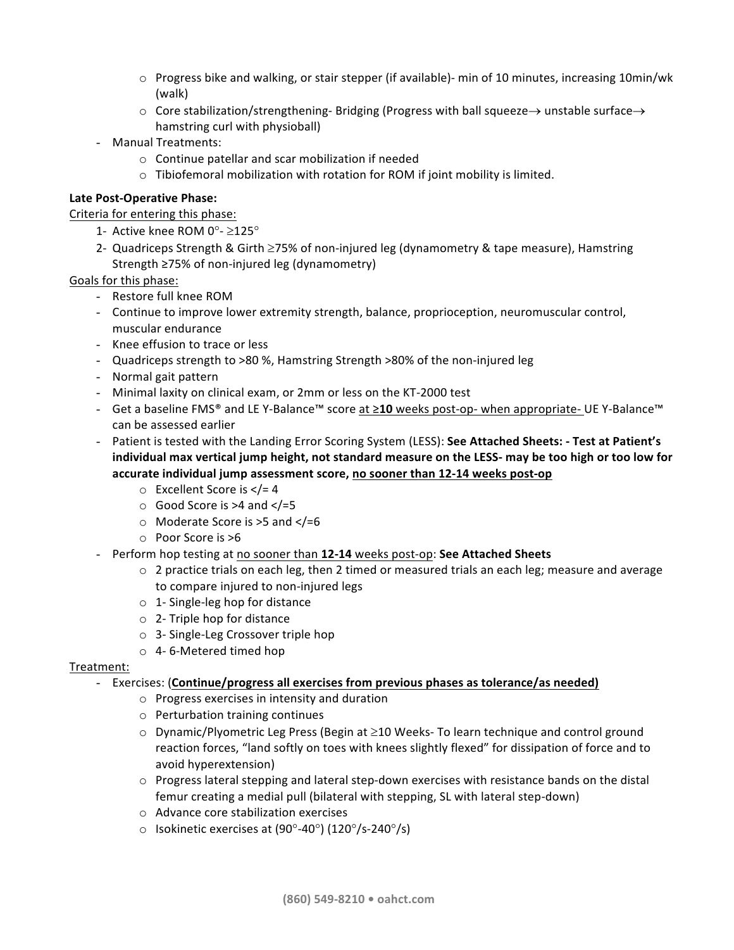- $\circ$  Progress bike and walking, or stair stepper (if available)- min of 10 minutes, increasing 10min/wk (walk)
- $\circ$  Core stabilization/strengthening-Bridging (Progress with ball squeeze  $\rightarrow$  unstable surface  $\rightarrow$ hamstring curl with physioball)
- Manual Treatments:
	- $\circ$  Continue patellar and scar mobilization if needed
	- $\circ$  Tibiofemoral mobilization with rotation for ROM if joint mobility is limited.

# Late Post-Operative Phase:

Criteria for entering this phase:

- 1- Active knee ROM  $0^{\circ}$   $\geq$ 125 $^{\circ}$
- 2- Quadriceps Strength & Girth  $\geq$ 75% of non-injured leg (dynamometry & tape measure), Hamstring Strength ≥75% of non-injured leg (dynamometry)

# Goals for this phase:

- Restore full knee ROM
- Continue to improve lower extremity strength, balance, proprioception, neuromuscular control, muscular endurance
- Knee effusion to trace or less
- Quadriceps strength to >80 %, Hamstring Strength >80% of the non-injured leg
- Normal gait pattern
- Minimal laxity on clinical exam, or 2mm or less on the KT-2000 test
- Get a baseline FMS® and LE Y-Balance<sup>™</sup> score at ≥10 weeks post-op- when appropriate- UE Y-Balance<sup>™</sup> can be assessed earlier
- Patient is tested with the Landing Error Scoring System (LESS): See Attached Sheets: Test at Patient's individual max vertical jump height, not standard measure on the LESS- may be too high or too low for accurate individual jump assessment score, no sooner than 12-14 weeks post-op
	- $\circ$  Excellent Score is </= 4
	- $\circ$  Good Score is >4 and  $\lt$ /=5
	- $\circ$  Moderate Score is >5 and </=6
	- $\circ$  Poor Score is  $>6$
- Perform hop testing at no sooner than 12-14 weeks post-op: See Attached Sheets
	- $\circ$  2 practice trials on each leg, then 2 timed or measured trials an each leg; measure and average to compare injured to non-injured legs
	- $\circ$  1- Single-leg hop for distance
	- $\circ$  2- Triple hop for distance
	- $\circ$  3- Single-Leg Crossover triple hop
	- $\circ$  4-6-Metered timed hop

# Treatment:

- Exercises: (**Continue/progress all exercises from previous phases as tolerance/as needed)** 
	- $\circ$  Progress exercises in intensity and duration
	- $\circ$  Perturbation training continues
	- $\circ$  Dynamic/Plyometric Leg Press (Begin at  $\geq$ 10 Weeks- To learn technique and control ground reaction forces, "land softly on toes with knees slightly flexed" for dissipation of force and to avoid hyperextension)
	- $\circ$  Progress lateral stepping and lateral step-down exercises with resistance bands on the distal femur creating a medial pull (bilateral with stepping, SL with lateral step-down)
	- $\circ$  Advance core stabilization exercises
	- $\circ$  Isokinetic exercises at (90°-40°) (120°/s-240°/s)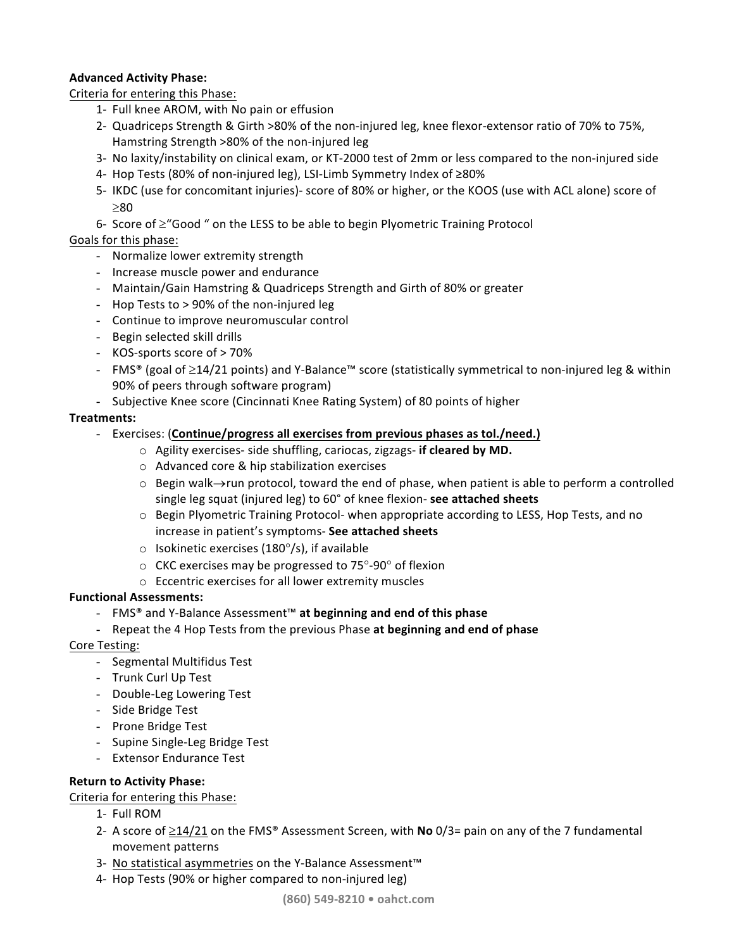# **Advanced Activity Phase:**

Criteria for entering this Phase:

- 1- Full knee AROM, with No pain or effusion
- 2- Quadriceps Strength & Girth >80% of the non-injured leg, knee flexor-extensor ratio of 70% to 75%, Hamstring Strength >80% of the non-injured leg
- 3- No laxity/instability on clinical exam, or KT-2000 test of 2mm or less compared to the non-injured side
- 4- Hop Tests (80% of non-injured leg), LSI-Limb Symmetry Index of  $≥80%$
- 5- IKDC (use for concomitant injuries)- score of 80% or higher, or the KOOS (use with ACL alone) score of  $>80$
- 6- Score of  $\geq$ "Good " on the LESS to be able to begin Plyometric Training Protocol

# Goals for this phase:

- Normalize lower extremity strength
- Increase muscle power and endurance
- Maintain/Gain Hamstring & Quadriceps Strength and Girth of 80% or greater
- Hop Tests to  $> 90\%$  of the non-injured leg
- Continue to improve neuromuscular control
- Begin selected skill drills
- KOS-sports score of > 70%
- FMS® (goal of ≥14/21 points) and Y-Balance™ score (statistically symmetrical to non-injured leg & within 90% of peers through software program)
- Subjective Knee score (Cincinnati Knee Rating System) of 80 points of higher

# **Treatments:**

- Exercises: (Continue/progress all exercises from previous phases as tol./need.)
	- o Agility exercises- side shuffling, cariocas, zigzags- if cleared by MD.
		- $\circ$  Advanced core & hip stabilization exercises
		- $\circ$  Begin walk $\rightarrow$ run protocol, toward the end of phase, when patient is able to perform a controlled single leg squat (injured leg) to 60° of knee flexion- see attached sheets
		- $\circ$  Begin Plyometric Training Protocol- when appropriate according to LESS, Hop Tests, and no increase in patient's symptoms- See attached sheets
		- $\circ$  Isokinetic exercises (180 $\circ$ /s), if available
		- $\circ$  CKC exercises may be progressed to 75 $\degree$ -90 $\degree$  of flexion
	- $\circ$  Eccentric exercises for all lower extremity muscles

# **Functional Assessments:**

- FMS® and Y-Balance Assessment™ **at beginning and end of this phase**
- Repeat the 4 Hop Tests from the previous Phase at beginning and end of phase

# Core Testing:

- Segmental Multifidus Test
- Trunk Curl Up Test
- Double-Leg Lowering Test
- Side Bridge Test
- Prone Bridge Test
- Supine Single-Leg Bridge Test
- Extensor Endurance Test

# **Return to Activity Phase:**

Criteria for entering this Phase:

- 1- Full ROM
- 2- A score of  $\geq$ 14/21 on the FMS<sup>®</sup> Assessment Screen, with **No** 0/3= pain on any of the 7 fundamental movement patterns
- 3- No statistical asymmetries on the Y-Balance Assessment<sup>™</sup>
- 4- Hop Tests (90% or higher compared to non-injured leg)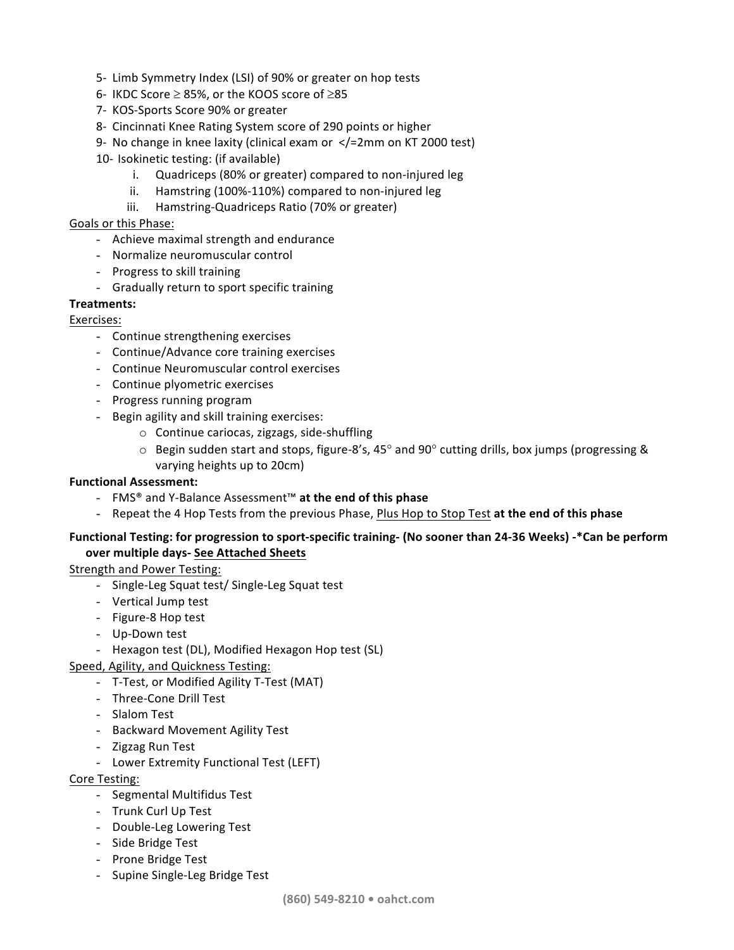- 5- Limb Symmetry Index (LSI) of 90% or greater on hop tests
- 6- IKDC Score  $\geq$  85%, or the KOOS score of  $\geq$ 85
- 7- KOS-Sports Score 90% or greater
- 8- Cincinnati Knee Rating System score of 290 points or higher
- 9- No change in knee laxity (clinical exam or  $\langle$  = 2mm on KT 2000 test)
- 10- Isokinetic testing: (if available)
	- i. Quadriceps (80% or greater) compared to non-injured leg
	- ii. Hamstring (100%-110%) compared to non-injured leg
	- iii. Hamstring-Quadriceps Ratio (70% or greater)

# Goals or this Phase:

- Achieve maximal strength and endurance
- Normalize neuromuscular control
- Progress to skill training
- Gradually return to sport specific training

# **Treatments:**

# Exercises:

- Continue strengthening exercises
- Continue/Advance core training exercises
- Continue Neuromuscular control exercises
- Continue plyometric exercises
- Progress running program
- Begin agility and skill training exercises:
	- $\circ$  Continue cariocas, zigzags, side-shuffling
	- $\circ$  Begin sudden start and stops, figure-8's, 45° and 90° cutting drills, box jumps (progressing & varying heights up to 20cm)

# **Functional Assessment:**

- FMS® and Y-Balance Assessment™ **at the end of this phase**
- Repeat the 4 Hop Tests from the previous Phase, Plus Hop to Stop Test at the end of this phase

# Functional Testing: for progression to sport-specific training- (No sooner than 24-36 Weeks) -\*Can be perform **over multiple days- See Attached Sheets**

Strength and Power Testing:

- Single-Leg Squat test/ Single-Leg Squat test
- Vertical Jump test
- Figure-8 Hop test
- Up-Down test
- Hexagon test (DL), Modified Hexagon Hop test (SL)
- Speed, Agility, and Quickness Testing:
	- T-Test, or Modified Agility T-Test (MAT)
	- Three-Cone Drill Test
	- Slalom Test
	- Backward Movement Agility Test
	- Zigzag Run Test
	- Lower Extremity Functional Test (LEFT)

# Core Testing:

- Segmental Multifidus Test
- Trunk Curl Up Test
- Double-Leg Lowering Test
- Side Bridge Test
- Prone Bridge Test
- Supine Single-Leg Bridge Test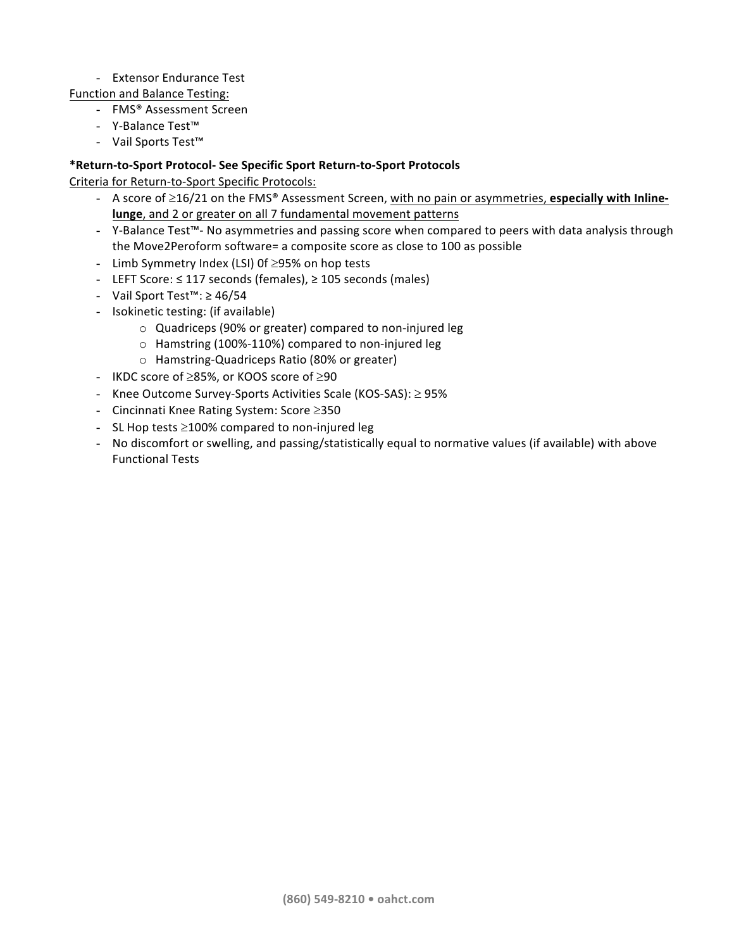# - Extensor Endurance Test

Function and Balance Testing:

- FMS<sup>®</sup> Assessment Screen
- Y-Balance Test™
- Vail Sports Test<sup>™</sup>

# **\*Return-to-Sport Protocol- See Specific Sport Return-to-Sport Protocols**

Criteria for Return-to-Sport Specific Protocols:

- A score of  $\geq$ 16/21 on the FMS<sup>®</sup> Assessment Screen, with no pain or asymmetries, **especially with Inlinelunge**, and 2 or greater on all 7 fundamental movement patterns
- Y-Balance Test™- No asymmetries and passing score when compared to peers with data analysis through the Move2Peroform software= a composite score as close to 100 as possible
- Limb Symmetry Index (LSI) Of  $\geq$ 95% on hop tests
- LEFT Score: ≤ 117 seconds (females), ≥ 105 seconds (males)
- Vail Sport Test<sup>™</sup>: ≥ 46/54
- Isokinetic testing: (if available)
	- o Quadriceps (90% or greater) compared to non-injured leg
	- $\circ$  Hamstring (100%-110%) compared to non-injured leg
	- o Hamstring-Quadriceps Ratio (80% or greater)
- IKDC score of  $\geq$ 85%, or KOOS score of  $\geq$ 90
- Knee Outcome Survey-Sports Activities Scale (KOS-SAS):  $\geq$  95%
- Cincinnati Knee Rating System: Score  $\geq$ 350
- SL Hop tests  $\geq$ 100% compared to non-injured leg
- No discomfort or swelling, and passing/statistically equal to normative values (if available) with above Functional Tests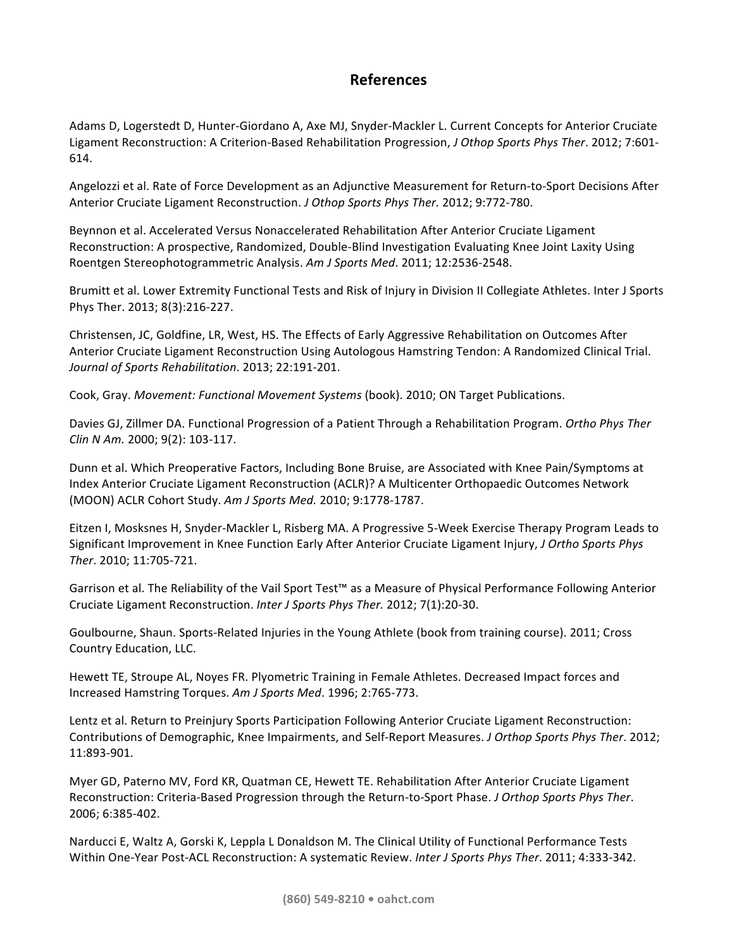# **References**

Adams D, Logerstedt D, Hunter-Giordano A, Axe MJ, Snyder-Mackler L. Current Concepts for Anterior Cruciate Ligament Reconstruction: A Criterion-Based Rehabilitation Progression, *J Othop Sports Phys Ther.* 2012; 7:601-614.

Angelozzi et al. Rate of Force Development as an Adjunctive Measurement for Return-to-Sport Decisions After Anterior Cruciate Ligament Reconstruction. *J Othop Sports Phys Ther.* 2012; 9:772-780.

Beynnon et al. Accelerated Versus Nonaccelerated Rehabilitation After Anterior Cruciate Ligament Reconstruction: A prospective, Randomized, Double-Blind Investigation Evaluating Knee Joint Laxity Using Roentgen Stereophotogrammetric Analysis. Am J Sports Med. 2011; 12:2536-2548.

Brumitt et al. Lower Extremity Functional Tests and Risk of Injury in Division II Collegiate Athletes. Inter J Sports Phys Ther. 2013; 8(3):216-227.

Christensen, JC, Goldfine, LR, West, HS. The Effects of Early Aggressive Rehabilitation on Outcomes After Anterior Cruciate Ligament Reconstruction Using Autologous Hamstring Tendon: A Randomized Clinical Trial. *Journal of Sports Rehabilitation*. 2013; 22:191-201.

Cook, Gray. Movement: Functional Movement Systems (book). 2010; ON Target Publications.

Davies GJ, Zillmer DA. Functional Progression of a Patient Through a Rehabilitation Program. *Ortho Phys Ther Clin N Am.* 2000; 9(2): 103-117.

Dunn et al. Which Preoperative Factors, Including Bone Bruise, are Associated with Knee Pain/Symptoms at Index Anterior Cruciate Ligament Reconstruction (ACLR)? A Multicenter Orthopaedic Outcomes Network (MOON) ACLR Cohort Study. Am J Sports Med. 2010; 9:1778-1787.

Eitzen I, Mosksnes H, Snyder-Mackler L, Risberg MA. A Progressive 5-Week Exercise Therapy Program Leads to Significant Improvement in Knee Function Early After Anterior Cruciate Ligament Injury, *J Ortho Sports Phys Ther*. 2010; 11:705-721.

Garrison et al. The Reliability of the Vail Sport Test™ as a Measure of Physical Performance Following Anterior Cruciate Ligament Reconstruction. Inter J Sports Phys Ther. 2012; 7(1):20-30.

Goulbourne, Shaun. Sports-Related Injuries in the Young Athlete (book from training course). 2011; Cross Country Education, LLC.

Hewett TE, Stroupe AL, Noyes FR. Plyometric Training in Female Athletes. Decreased Impact forces and Increased Hamstring Torques. *Am J Sports Med*. 1996; 2:765-773.

Lentz et al. Return to Preinjury Sports Participation Following Anterior Cruciate Ligament Reconstruction: Contributions of Demographic, Knee Impairments, and Self-Report Measures. *J Orthop Sports Phys Ther*. 2012; 11:893-901.

Myer GD, Paterno MV, Ford KR, Quatman CE, Hewett TE. Rehabilitation After Anterior Cruciate Ligament Reconstruction: Criteria-Based Progression through the Return-to-Sport Phase. *J Orthop Sports Phys Ther*. 2006; 6:385-402.

Narducci E, Waltz A, Gorski K, Leppla L Donaldson M. The Clinical Utility of Functional Performance Tests Within One-Year Post-ACL Reconstruction: A systematic Review. *Inter J Sports Phys Ther*. 2011; 4:333-342.